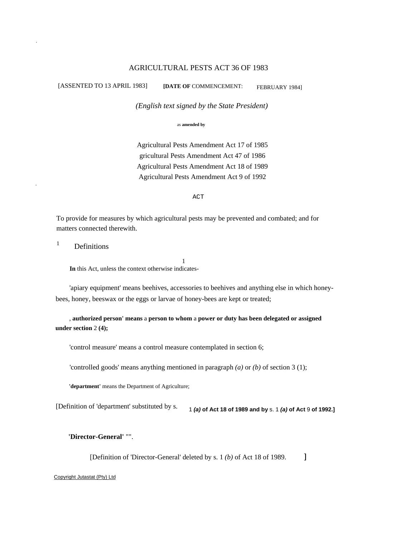#### AGRICULTURAL PESTS ACT 36 OF 1983

.

.

[ASSENTED TO 13 APRIL 1983] **[DATE OF** COMMENCEMENT: FEBRUARY 1984]

*(English text signed by the State President)*

as **amended by** 

Agricultural Pests Amendment Act 17 of 1985 gricultural Pests Amendment Act 47 of 1986 Agricultural Pests Amendment Act 18 of 1989 Agricultural Pests Amendment Act 9 of 1992

ACT

To provide for measures by which agricultural pests may be prevented and combated; and for matters connected therewith.

1

<sup>1</sup> Definitions

**In** this Act, unless the context otherwise indicates-

'apiary equipment' means beehives, accessories to beehives and anything else in which honeybees, honey, beeswax or the eggs or larvae of honey-bees are kept or treated;

, **authorized person' means** a **person to whom** a **power or duty has been delegated or assigned under section** 2 **(4);** 

'control measure' means a control measure contemplated in section 6;

'controlled goods' means anything mentioned in paragraph *(a)* or *(b)* of section 3 (1);

**'department'** means the Department of Agriculture;

[Definition of 'department' substituted by s. 1 *(a)* **of Act 18 of 1989 and by** s. 1 *(a)* **of Act** 9 **of 1992.]** 

**'Director-General'** "".

[Definition of 'Director-General' deleted by s. 1 *(b)* of Act 18 of 1989. 1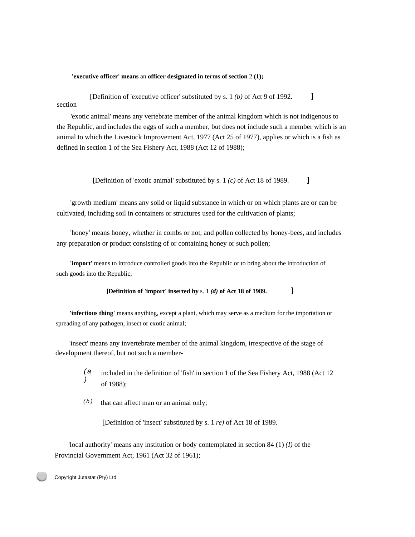#### **'executive officer' means** an **officer designated in terms of section** 2 **(1);**

 $\mathbf{1}$ [Definition of 'executive officer' substituted by s. 1 *(b)* of Act 9 of 1992. section

'exotic animal' means any vertebrate member of the animal kingdom which is not indigenous to the Republic, and includes the eggs of such a member, but does not include such a member which is an animal to which the Livestock Improvement Act, 1977 (Act 25 of 1977), applies or which is a fish as defined in section 1 of the Sea Fishery Act, 1988 (Act 12 of 1988);

> $\mathbf{I}$ [Definition of 'exotic animal' substituted by s. 1 *(c)* of Act 18 of 1989.

'growth medium' means any solid or liquid substance in which or on which plants are or can be cultivated, including soil in containers or structures used for the cultivation of plants;

'honey' means honey, whether in combs or not, and pollen collected by honey-bees, and includes any preparation or product consisting of or containing honey or such pollen;

**'import'** means to introduce controlled goods into the Republic or to bring about the introduction of such goods into the Republic;

#### $\mathbf{l}$ **[Definition of 'import' inserted by** s. 1 *(d)* **of Act 18 of 1989.**

**'infectious thing'** means anything, except a plant, which may serve as a medium for the importation or spreading of any pathogen, insect or exotic animal;

'insect' means any invertebrate member of the animal kingdom, irrespective of the stage of development thereof, but not such a member-

- *(a )*  included in the definition of 'fish' in section 1 of the Sea Fishery Act, 1988 (Act 12 of 1988);
- *(b)*  that can affect man or an animal only;

[Definition of 'insect' substituted by s. 1 *re)* of Act 18 of 1989.

'local authority' means any institution or body contemplated in section 84 (1) *(I)* of the Provincial Government Act, 1961 (Act 32 of 1961);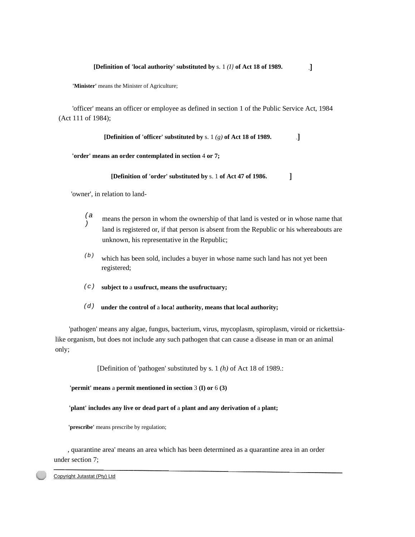$\cdot$ 

 $\mathbf{I}$ 

**'Minister'** means the Minister of Agriculture;

'officer' means an officer or employee as defined in section 1 of the Public Service Act, 1984 (Act 111 of 1984);

> **[Definition of 'officer' substituted by** s. 1 *(g)* **of Act 18 of 1989.**   $\mathbf{I}$

**'order' means an order contemplated in section** 4 **or 7;** 

**[Definition of 'order' substituted by** s. 1 **of Act 47 of 1986.** 

'owner', in relation to land-

- *(a*  $\int_{0}^{6}$  means the person in whom the ownership of that land is vested or in whose name that land is registered or, if that person is absent from the Republic or his whereabouts are unknown, his representative in the Republic;
- *(b)* which has been sold, includes a buyer in whose name such land has not yet been registered;
- *(c)* **subject to** a **usufruct, means the usufructuary;**
- *(d)* **under the control of** a **loca! authority, means that local authority;**

'pathogen' means any algae, fungus, bacterium, virus, mycoplasm, spiroplasm, viroid or rickettsialike organism, but does not include any such pathogen that can cause a disease in man or an animal only;

[Definition of 'pathogen' substituted by s. 1 *(h)* of Act 18 of 1989.:

**'permit' means** a **permit mentioned in section** 3 **(I) or** 6 **(3)** 

**'plant' includes any live or dead part of** a **plant and any derivation of** a **plant;** 

'prescribe' means prescribe by regulation;

, quarantine area' means an area which has been determined as a quarantine area in an order under section 7;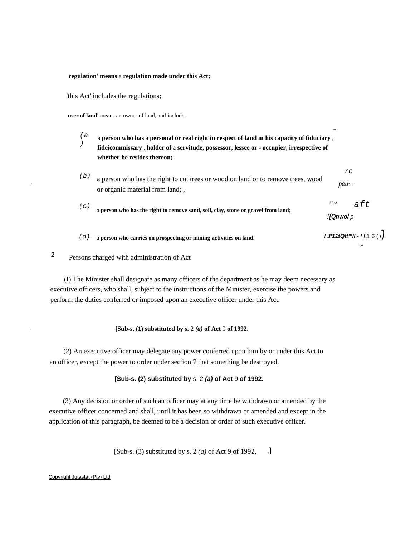#### **regulation' means** a **regulation made under this Act;**

'this Act' includes the regulations;

.

**user of land'** means an owner of land, and includes-

*(a )* a **person who has** a **personal or real right in respect of land in his capacity of fiduciary** , **fideicommissary** , **holder of** a **servitude, possessor, lessee or** - **occupier, irrespective of whether he resides thereon;** 

*(b)* a person who has the right to cut trees or wood on land or to remove trees, wood or organic material from land; , *peu~.* 

~

*f(;J* 

*!{Qnwo/ p* 

*rc* 

*aft* 

( *a.* 

- *(c)* a **person who has the right to remove sand, soil, clay, stone or gravel from land;**
- *(d)* a person who carries on prospecting or mining activities on land.  $\blacksquare$  *I J'11tQlt'''ll~ f* £1 6 (*i*)

2 Persons charged with administration of Act

(I) The Minister shall designate as many officers of the department as he may deem necessary as executive officers, who shall, subject to the instructions of the Minister, exercise the powers and perform the duties conferred or imposed upon an executive officer under this Act.

## . **[Sub-s. (1) substituted by s.** 2 *(a)* **of Act** 9 **of 1992.**

(2) An executive officer may delegate any power conferred upon him by or under this Act to an officer, except the power to order under section 7 that something be destroyed.

#### **[Sub-s. (2) substituted by** s. 2 *(a)* **of Act** 9 **of 1992.**

(3) Any decision or order of such an officer may at any time be withdrawn or amended by the executive officer concerned and shall, until it has been so withdrawn or amended and except in the application of this paragraph, be deemed to be a decision or order of such executive officer.

> [Sub-s. (3) substituted by s. 2 *(a)* of Act 9 of 1992,  $\cdot$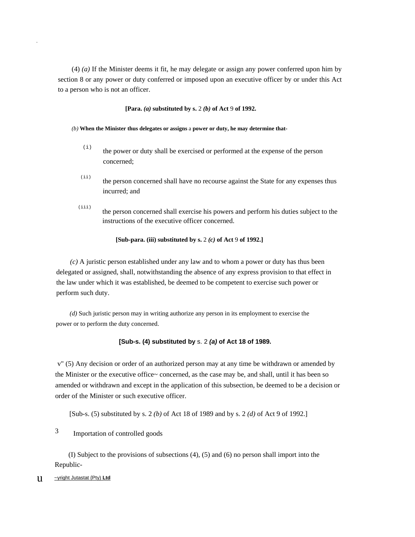(4) *(a)* If the Minister deems it fit, he may delegate or assign any power conferred upon him by section 8 or any power or duty conferred or imposed upon an executive officer by or under this Act to a person who is not an officer.

**[Para.** *(a)* **substituted by s.** 2 *(b)* **of Act** 9 **of 1992.** 

- *(b)* **When the Minister thus delegates or assigns** a **power or duty, he may determine that-** 
	- $(i)$  the power or duty shall be exercised or performed at the expense of the person concerned;
	- (ii) the person concerned shall have no recourse against the State for any expenses thus incurred; and
	- $(iii)$ the person concerned shall exercise his powers and perform his duties subject to the instructions of the executive officer concerned.

**[Sub-para. (iii) substituted by s.** 2 *(c)* **of Act** 9 **of 1992.]** 

*(c)* A juristic person established under any law and to whom a power or duty has thus been delegated or assigned, shall, notwithstanding the absence of any express provision to that effect in the law under which it was established, be deemed to be competent to exercise such power or perform such duty.

*(d)* Such juristic person may in writing authorize any person in its employment to exercise the power or to perform the duty concerned.

## **[Sub-s. (4) substituted by** s. 2 *(a)* **of Act 18 of 1989.**

v" (5) Any decision or order of an authorized person may at any time be withdrawn or amended by the Minister or the executive office~ concerned, as the case may be, and shall, until it has been so amended or withdrawn and except in the application of this subsection, be deemed to be a decision or order of the Minister or such executive officer.

[Sub-s. (5) substituted by s. 2 *(b)* of Act 18 of 1989 and by s. 2 *(d)* of Act 9 of 1992.]

3 Importation of controlled goods

(I) Subject to the provisions of subsections (4), (5) and (6) no person shall import into the Republic-

u ~yright Jutastat {Pty) **Ltd**

.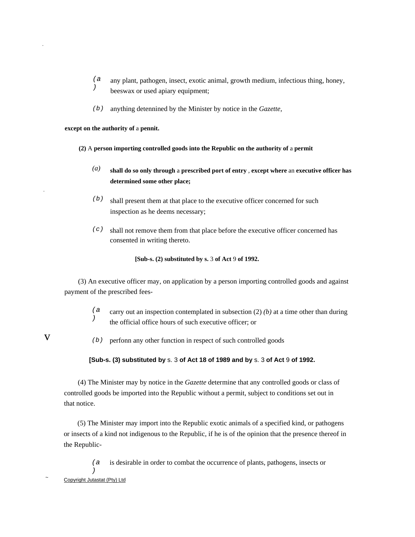- *(a )*  any plant, pathogen, insect, exotic animal, growth medium, infectious thing, honey, beeswax or used apiary equipment;
- *(b)*  anything detennined by the Minister by notice in the *Gazette,*

**except on the authority of** a **pennit.** 

- **(2)** A **person importing controlled goods into the Republic on the authority of** a **permit** 
	- *(a)*  **shall do so only through** a **prescribed port of entry** , **except where** an **executive officer has determined some other place;**
	- *(b)*  shall present them at that place to the executive officer concerned for such inspection as he deems necessary;
	- *(c)*  shall not remove them from that place before the executive officer concerned has consented in writing thereto.

**[Sub-s. (2) substituted by s.** 3 **of Act** 9 **of 1992.** 

(3) An executive officer may, on application by a person importing controlled goods and against payment of the prescribed fees-

- *(a )*  carry out an inspection contemplated in subsection (2) *(b)* at a time other than during the official office hours of such executive officer; or
- v

.

.

*(b)*  perfonn any other function in respect of such controlled goods

## **[Sub-s. (3) substituted by** s. 3 **of Act 18 of 1989 and by** s. 3 **of Act** 9 **of 1992.**

(4) The Minister may by notice in the *Gazette* determine that any controlled goods or class of controlled goods be imported into the Republic without a permit, subject to conditions set out in that notice.

(5) The Minister may import into the Republic exotic animals of a specified kind, or pathogens or insects of a kind not indigenous to the Republic, if he is of the opinion that the presence thereof in the Republic-

*(a* is desirable in order to combat the occurrence of plants, pathogens, insects or

*)* 

<sup>~</sup>  Copyright Jutastat (Pty) Ltd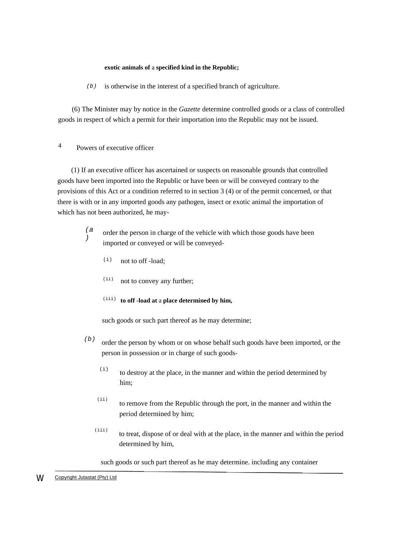#### **exotic animals of** a **specified kind in the Republic;**

*(b)* is otherwise in the interest of a specified branch of agriculture.

(6) The Minister may by notice in the *Gazette* determine controlled goods or a class of controlled goods in respect of which a permit for their importation into the Republic may not be issued.

# 4 Powers of executive officer

(1) If an executive officer has ascertained or suspects on reasonable grounds that controlled goods have been imported into the Republic or have been or will be conveyed contrary to the provisions of this Act or a condition referred to in section 3 (4) or of the permit concerned, or that there is with or in any imported goods any pathogen, insect or exotic animal the importation of which has not been authorized, he may-

- *(a )*  order the person in charge of the vehicle with which those goods have been imported or conveyed or will be conveyed-
	- $(i)$  not to off-load:
	- $(iii)$  not to convey any further;
	- (iii) **to off -load at** a **place determined by him,**

such goods or such part thereof as he may determine;

- *(b)*  order the person by whom or on whose behalf such goods have been imported, or the person in possession or in charge of such goods-
	- $(i)$  to destroy at the place, in the manner and within the period determined by him;
	- (ii) to remove from the Republic through the port, in the manner and within the period determined by him;
	- (iii) to treat, dispose of or deal with at the place, in the manner and within the period determined by him,

such goods or such part thereof as he may determine. including any container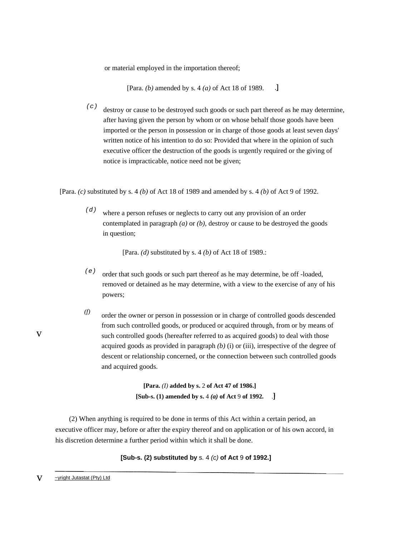or material employed in the importation thereof;

 $\cdot$ [Para. *(b)* amended by s. 4 *(a)* of Act 18 of 1989.

*(c)*  destroy or cause to be destroyed such goods or such part thereof as he may determine, after having given the person by whom or on whose behalf those goods have been imported or the person in possession or in charge of those goods at least seven days' written notice of his intention to do so: Provided that where in the opinion of such executive officer the destruction of the goods is urgently required or the giving of notice is impracticable, notice need not be given;

[Para. *(c)* substituted by s. 4 *(b)* of Act 18 of 1989 and amended by s. 4 *(b)* of Act 9 of 1992.

*(d)*  where a person refuses or neglects to carry out any provision of an order contemplated in paragraph *(a)* or *(b),* destroy or cause to be destroyed the goods in question;

[Para. *(d)* substituted by s. 4 *(b)* of Act 18 of 1989.:

- *(e)*  order that such goods or such part thereof as he may determine, be off -loaded, removed or detained as he may determine, with a view to the exercise of any of his powers;
- *(f)*  order the owner or person in possession or in charge of controlled goods descended from such controlled goods, or produced or acquired through, from or by means of such controlled goods (hereafter referred to as acquired goods) to deal with those acquired goods as provided in paragraph *(b)* (i) or (iii), irrespective of the degree of descent or relationship concerned, or the connection between such controlled goods and acquired goods.

**[Para.** *(I)* **added by s.** 2 **of Act 47 of 1986.] [Sub-s. (1) amended by s.** 4 *(a)* **of Act** 9 **of 1992.** 

(2) When anything is required to be done in terms of this Act within a certain period, an executive officer may, before or after the expiry thereof and on application or of his own accord, in his discretion determine a further period within which it shall be done.

**[Sub-s. (2) substituted by** s. 4 *(c)* **of Act** 9 **of 1992.]**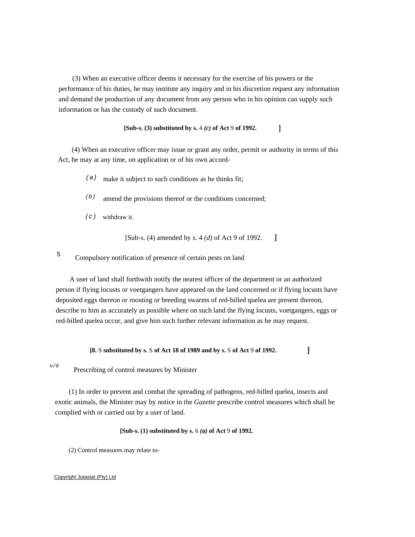(3) When an executive officer deems it necessary for the exercise of his powers or the performance of his duties, he may institute any inquiry and in his discretion request any information and demand the production of any document from any person who in his opinion can supply such information or has the custody of such document.

#### $\mathbf{I}$ **[Sub-s. (3) substituted by s.** 4 *(c)* **of Act** 9 **of 1992.**

(4) When an executive officer may issue or grant any order, permit or authority in terms of this Act, he may at any time, on application or of his own accord-

- *(a)*  make it subject to such conditions as he thinks fit;
- *(b)*  amend the provisions thereof or the conditions concerned;
- *(c)*  withdraw it.

 $\mathbf{1}$ [Sub-s. (4) amended by s. 4 *(d)* of Act 9 of 1992.

#### 5 Compulsory notification of presence of certain pests on land

A user of land shall forthwith notify the nearest officer of the department or an authorized person if flying locusts or voetgangers have appeared on the land concerned or if flying locusts have deposited eggs thereon or roosting or breeding swarms of red-billed quelea are present thereon, describe to him as accurately as possible where on such land the flying locusts, voetgangers, eggs or red-billed quelea occur, and give him such further relevant information as he may request.

#### **[8.** S **substituted by s.** S **of Act 18 of 1989 and by s.** S **of Act** 9 **of 1992.**

 $\mathbf{I}$ 

*v/6* 

Prescribing of control measures by Minister

(1) In order to prevent and combat the spreading of pathogens, red-billed quelea, insects and exotic animals, the Minister may by notice in the *Gazette* prescribe control measures which shall be complied with or carried out by a user of land.

#### **[Sub-s. (1) substituted by s.** 6 *(a)* **of Act** 9 **of 1992.**

(2) Control measures may relate to-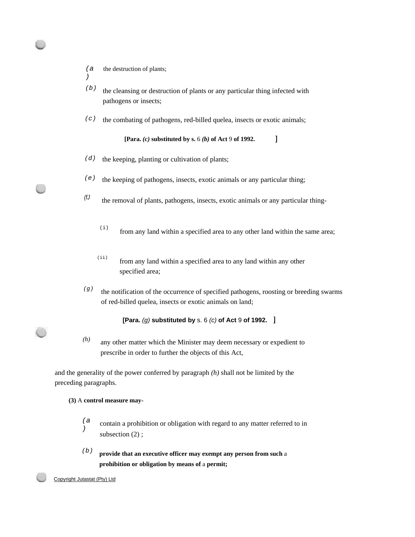*(a* the destruction of plants;

*)* 

- *(b)*  the cleansing or destruction of plants or any particular thing infected with pathogens or insects;
- *(c)*  the combating of pathogens, red-billed quelea, insects or exotic animals;

```
[Para. (c) substituted by s. 6 (b) of Act 9 of 1992.
```
- *(d)*  the keeping, planting or cultivation of plants;
- *(e)*  the keeping of pathogens, insects, exotic animals or any particular thing;
- *(fJ*  the removal of plants, pathogens, insects, exotic animals or any particular thing-
	- $(i)$  from any land within a specified area to any other land within the same area;

 $\mathbf{1}$ 

- (ii) from any land within a specified area to any land within any other specified area;
- *(g)*  the notification of the occurrence of specified pathogens, roosting or breeding swarms of red-billed quelea, insects or exotic animals on land;

## **[Para.** *(g)* **substituted by** s. 6 *(c)* **of Act** 9 **of 1992.**

*(h)*  any other matter which the Minister may deem necessary or expedient to prescribe in order to further the objects of this Act,

and the generality of the power conferred by paragraph *(h)* shall not be limited by the preceding paragraphs.

## **(3)** A **control measure may-**

- *(a )*  contain a prohibition or obligation with regard to any matter referred to in subsection  $(2)$ ;
- *(b)*  **provide that an executive officer may exempt any person from such** a **prohibition or obligation by means of** a **permit;**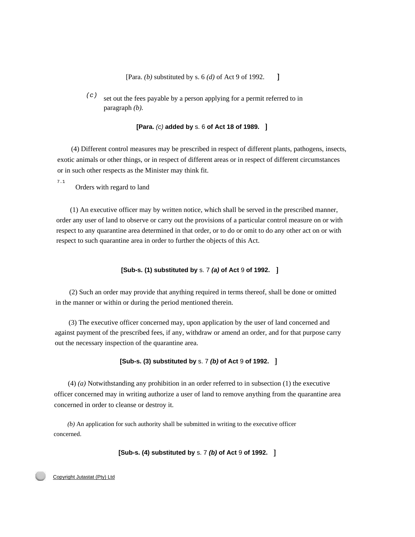$\mathbf{1}$ [Para. *(b)* substituted by s. 6 *(d)* of Act 9 of 1992.

 $(c)$  set out the fees payable by a person applying for a permit referred to in paragraph *(b).* 

**[Para.** *(c)* **added by** s. 6 **of Act 18 of 1989.** 

(4) Different control measures may be prescribed in respect of different plants, pathogens, insects, exotic animals or other things, or in respect of different areas or in respect of different circumstances or in such other respects as the Minister may think fit.

7.1

Orders with regard to land

(1) An executive officer may by written notice, which shall be served in the prescribed manner, order any user of land to observe or carry out the provisions of a particular control measure on or with respect to any quarantine area determined in that order, or to do or omit to do any other act on or with respect to such quarantine area in order to further the objects of this Act.

## **[Sub-s. (1) substituted by** s. 7 *(a)* **of Act** 9 **of 1992.**

(2) Such an order may provide that anything required in terms thereof, shall be done or omitted in the manner or within or during the period mentioned therein.

(3) The executive officer concerned may, upon application by the user of land concerned and against payment of the prescribed fees, if any, withdraw or amend an order, and for that purpose carry out the necessary inspection of the quarantine area.

## **[Sub-s. (3) substituted by** s. 7 *(b)* **of Act** 9 **of 1992.**

(4) *(a)* Notwithstanding any prohibition in an order referred to in subsection (1) the executive officer concerned may in writing authorize a user of land to remove anything from the quarantine area concerned in order to cleanse or destroy it.

*(b)* An application for such authority shall be submitted in writing to the executive officer concerned.

**[Sub-s. (4) substituted by** s. 7 *(b)* **of Act** 9 **of 1992.**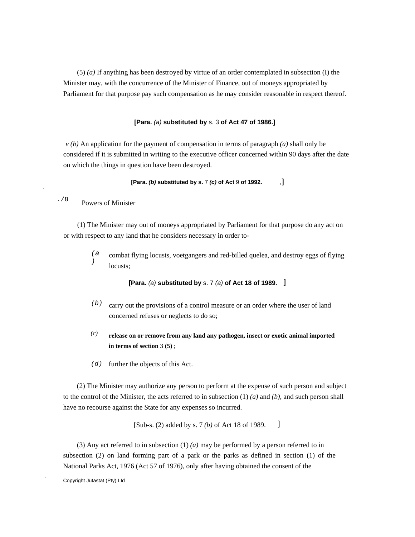(5) *(a)* If anything has been destroyed by virtue of an order contemplated in subsection (I) the Minister may, with the concurrence of the Minister of Finance, out of moneys appropriated by Parliament for that purpose pay such compensation as he may consider reasonable in respect thereof.

#### **[Para.** *(a)* **substituted by** s. 3 **of Act 47 of 1986.]**

*v (b)* An application for the payment of compensation in terms of paragraph *(a)* shall only be considered if it is submitted in writing to the executive officer concerned within 90 days after the date on which the things in question have been destroyed.

#### $\cdot$ **[Para.** *(b)* **substituted by s.** 7 *(c)* **of Act** 9 **of 1992.**

#### ./8 Powers of Minister

.

(1) The Minister may out of moneys appropriated by Parliament for that purpose do any act on or with respect to any land that he considers necessary in order to-

*(a )*  combat flying locusts, voetgangers and red-billed quelea, and destroy eggs of flying locusts;

**[Para.** *(a)* **substituted by** s. 7 *(a)* **of Act 18 of 1989.** 

- *(b)* carry out the provisions of a control measure or an order where the user of land concerned refuses or neglects to do so;
- *(c)* **release on or remove from any land any pathogen, insect or exotic animal imported in terms of section** 3 **(5)** ;
- *(d)* further the objects of this Act.

(2) The Minister may authorize any person to perform at the expense of such person and subject to the control of the Minister, the acts referred to in subsection (1) *(a)* and *(b),* and such person shall have no recourse against the State for any expenses so incurred.

> [Sub-s. (2) added by s. 7 *(b)* of Act 18 of 1989.  $\mathbf{I}$

(3) Any act referred to in subsection (1) *(a)* may be performed by a person referred to in subsection (2) on land forming part of a park or the parks as defined in section (1) of the National Parks Act, 1976 (Act 57 of 1976), only after having obtained the consent of the

Copyright Jutastat (Pty) LId

.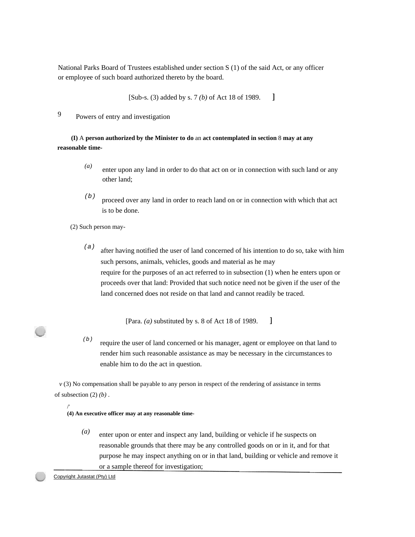National Parks Board of Trustees established under section S (1) of the said Act, or any officer or employee of such board authorized thereto by the board.

> [Sub-s. (3) added by s. 7 *(b)* of Act 18 of 1989.  $\mathbf{l}$

9 Powers of entry and investigation

**(I)** A **person authorized by the Minister to do** an **act contemplated in section** 8 **may at any reasonable time-** 

- *(a)*  enter upon any land in order to do that act on or in connection with such land or any other land;
- *(b)*  proceed over any land in order to reach land on or in connection with which that act is to be done.

(2) Such person may-

*(a)*  after having notified the user of land concerned of his intention to do so, take with him such persons, animals, vehicles, goods and material as he may require for the purposes of an act referred to in subsection (1) when he enters upon or proceeds over that land: Provided that such notice need not be given if the user of the land concerned does not reside on that land and cannot readily be traced.

> $\mathbf{l}$ [Para. *(a)* substituted by s. 8 of Act 18 of 1989.

*(b)*  require the user of land concerned or his manager, agent or employee on that land to render him such reasonable assistance as may be necessary in the circumstances to enable him to do the act in question.

*v* (3) No compensation shall be payable to any person in respect of the rendering of assistance in terms of subsection (2) *(b)* .

/' **(4) An executive officer may at any reasonable time-** 

> *(a)* enter upon or enter and inspect any land, building or vehicle if he suspects on reasonable grounds that there may be any controlled goods on or in it, and for that purpose he may inspect anything on or in that land, building or vehicle and remove it or a sample thereof for investigation;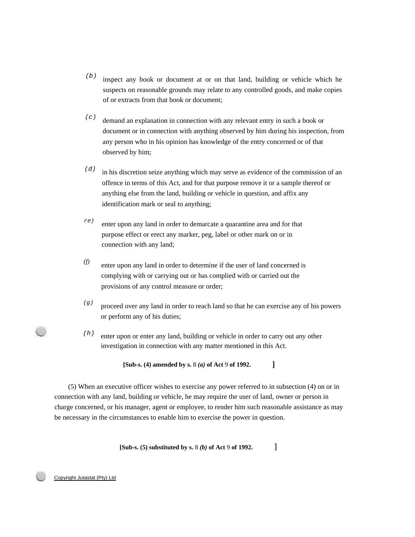- *(b)*  inspect any book or document at or on that land, building or vehicle which he suspects on reasonable grounds may relate to any controlled goods, and make copies of or extracts from that book or document;
- *(c)*  demand an explanation in connection with any relevant entry in such a book or document or in connection with anything observed by him during his inspection, from any person who in his opinion has knowledge of the entry concerned or of that observed by him;
- *(d)*  in his discretion seize anything which may serve as evidence of the commission of an offence in terms of this Act, and for that purpose remove it or a sample thereof or anything else from the land, building or vehicle in question, and affix any identification mark or seal to anything;
- *re)*  enter upon any land in order to demarcate a quarantine area and for that purpose effect or erect any marker, peg, label or other mark on or in connection with any land;
- *(f)*  enter upon any land in order to determine if the user of land concerned is complying with or carrying out or has complied with or carried out the provisions of any control measure or order;
- *(g)*  proceed over any land in order to reach land so that he can exercise any of his powers or perform any of his duties;

 $\mathbf{1}$ 

*(h)*  enter upon or enter any land, building or vehicle in order to carry out any other investigation in connection with any matter mentioned in this Act.

**[Sub-s. (4) amended by s.** 8 *(a)* **of Act** 9 **of 1992.** 

(5) When an executive officer wishes to exercise any power referred to in subsection (4) on or in connection with any land, building or vehicle, he may require the user of land, owner or person in charge concerned, or his manager, agent or employee, to render him such reasonable assistance as may be necessary in the circumstances to enable him to exercise the power in question.

#### **[Sub-s. (5) substituted by s.** 8 *(b)* **of Act** 9 **of 1992.**   $\mathbf{I}$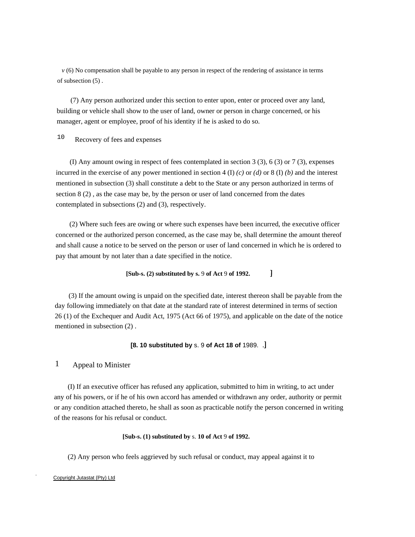*v* (6) No compensation shall be payable to any person in respect of the rendering of assistance in terms of subsection (5) .

(7) Any person authorized under this section to enter upon, enter or proceed over any land, building or vehicle shall show to the user of land, owner or person in charge concerned, or his manager, agent or employee, proof of his identity if he is asked to do so.

10 Recovery of fees and expenses

(I) Any amount owing in respect of fees contemplated in section 3 (3), 6 (3) or 7 (3), expenses incurred in the exercise of any power mentioned in section 4 (I)  $(c)$  or  $(d)$  or 8 (I)  $(b)$  and the interest mentioned in subsection (3) shall constitute a debt to the State or any person authorized in terms of section 8 (2) , as the case may be, by the person or user of land concerned from the dates contemplated in subsections (2) and (3), respectively.

(2) Where such fees are owing or where such expenses have been incurred, the executive officer concerned or the authorized person concerned, as the case may be, shall determine the amount thereof and shall cause a notice to be served on the person or user of land concerned in which he is ordered to pay that amount by not later than a date specified in the notice.

#### $\mathbf{I}$ **[Sub-s. (2) substituted by s.** 9 **of Act** 9 **of 1992.**

(3) If the amount owing is unpaid on the specified date, interest thereon shall be payable from the day following immediately on that date at the standard rate of interest determined in terms of section 26 (1) of the Exchequer and Audit Act, 1975 (Act 66 of 1975), and applicable on the date of the notice mentioned in subsection (2) .

#### **[8. 10 substituted by** s. 9 **of Act 18 of** 1989.

# 1 Appeal to Minister

(I) If an executive officer has refused any application, submitted to him in writing, to act under any of his powers, or if he of his own accord has amended or withdrawn any order, authority or permit or any condition attached thereto, he shall as soon as practicable notify the person concerned in writing of the reasons for his refusal or conduct.

#### **[Sub-s. (1) substituted by** s. **10 of Act** 9 **of 1992.**

(2) Any person who feels aggrieved by such refusal or conduct, may appeal against it to

#### Copyright Jutastat {Pty) Ltd

.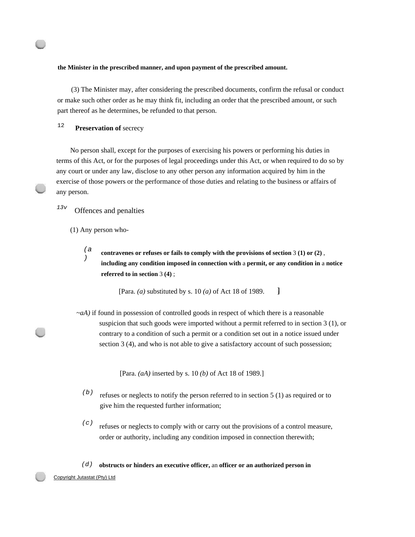#### **the Minister in the prescribed manner, and upon payment of the prescribed amount.**

(3) The Minister may, after considering the prescribed documents, confirm the refusal or conduct or make such other order as he may think fit, including an order that the prescribed amount, or such part thereof as he determines, be refunded to that person.

<sup>12</sup>**Preservation of** secrecy

No person shall, except for the purposes of exercising his powers or performing his duties in terms of this Act, or for the purposes of legal proceedings under this Act, or when required to do so by any court or under any law, disclose to any other person any information acquired by him in the exercise of those powers or the performance of those duties and relating to the business or affairs of any person.

# *13v* Offences and penalties

(1) Any person who-

*(a )* **contravenes or refuses or fails to comply with the provisions of section** 3 **(1) or (2)** , **including any condition imposed in connection with** a **permit, or any condition in** a **notice referred to in section** 3 **(4)** ;

> $\mathbf{l}$ [Para. *(a)* substituted by s. 10 *(a)* of Act 18 of 1989.

*~aA)* if found in possession of controlled goods in respect of which there is a reasonable suspicion that such goods were imported without a permit referred to in section 3 (1), or contrary to a condition of such a permit or a condition set out in a notice issued under section 3 (4), and who is not able to give a satisfactory account of such possession;

[Para. *(aA)* inserted by s. 10 *(b)* of Act 18 of 1989.]

- *(b)* refuses or neglects to notify the person referred to in section 5 (1) as required or to give him the requested further information;
- $(c)$  refuses or neglects to comply with or carry out the provisions of a control measure, order or authority, including any condition imposed in connection therewith;

#### *(d)* **obstructs or hinders an executive officer,** an **officer or an authorized person in**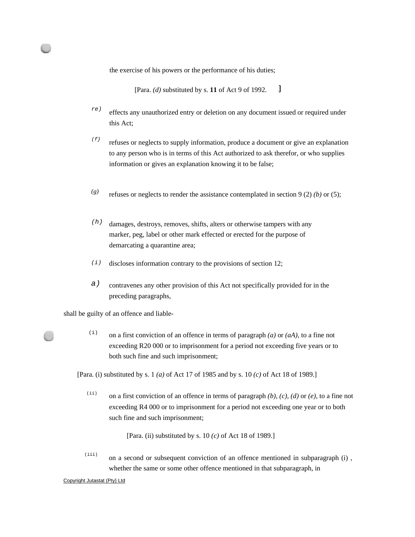the exercise of his powers or the performance of his duties;

 $\mathbf{I}$ [Para. *(d)* substituted by s. **11** of Act 9 of 1992.

- *re)*  effects any unauthorized entry or deletion on any document issued or required under this Act;
- *(f}*  refuses or neglects to supply information, produce a document or give an explanation to any person who is in terms of this Act authorized to ask therefor, or who supplies information or gives an explanation knowing it to be false;
- *(g)*  refuses or neglects to render the assistance contemplated in section 9 (2) *(b)* or (5);
- *(h)*  damages, destroys, removes, shifts, alters or otherwise tampers with any marker, peg, label or other mark effected or erected for the purpose of demarcating a quarantine area;
- *(i)*  discloses information contrary to the provisions of section 12;
- *a)*  contravenes any other provision of this Act not specifically provided for in the preceding paragraphs,

shall be guilty of an offence and liable-

(i) on a first conviction of an offence in terms of paragraph  $(a)$  or  $(aA)$ , to a fine not exceeding R20 000 or to imprisonment for a period not exceeding five years or to both such fine and such imprisonment;

[Para. (i) substituted by s. 1 *(a)* of Act 17 of 1985 and by s. 10 *(c)* of Act 18 of 1989.]

 $(i)$ on a first conviction of an offence in terms of paragraph *(b), (c), (d)* or *(e),* to a fine not exceeding R4 000 or to imprisonment for a period not exceeding one year or to both such fine and such imprisonment;

[Para. (ii) substituted by s. 10 *(c)* of Act 18 of 1989.]

(iii) on a second or subsequent conviction of an offence mentioned in subparagraph (i) , whether the same or some other offence mentioned in that subparagraph, in

Copyright Jutastat (Pty} Ltd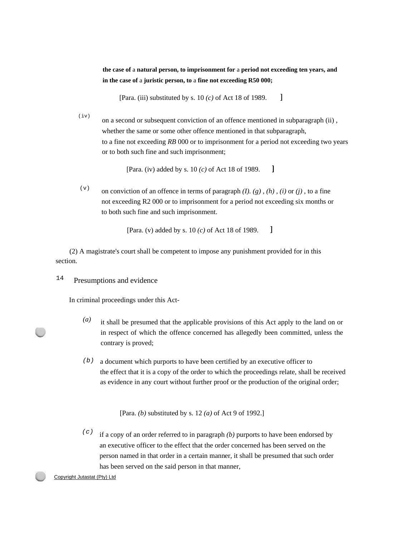**the case of** a **natural person, to imprisonment for** a **period not exceeding ten years, and in the case of** a **juristic person, to** a **fine not exceeding R50 000;** 

 $\mathbf{I}$ [Para. (iii) substituted by s. 10 *(c)* of Act 18 of 1989.

 $(iv)$ on a second or subsequent conviction of an offence mentioned in subparagraph (ii) , whether the same or some other offence mentioned in that subparagraph, to a fine not exceeding *RB* 000 or to imprisonment for a period not exceeding two years or to both such fine and such imprisonment;

> $\mathbf{l}$ [Para. (iv) added by s. 10 *(c)* of Act 18 of 1989.

(v) on conviction of an offence in terms of paragraph  $(I)$ .  $(g)$ ,  $(h)$ ,  $(i)$  or  $(i)$ , to a fine not exceeding R2 000 or to imprisonment for a period not exceeding six months or to both such fine and such imprisonment.

> $\mathbf{1}$ [Para. (v) added by s. 10 *(c)* of Act 18 of 1989.

(2) A magistrate's court shall be competent to impose any punishment provided for in this section.

 $14$  Presumptions and evidence

In criminal proceedings under this Act-

- *(a)*  it shall be presumed that the applicable provisions of this Act apply to the land on or in respect of which the offence concerned has allegedly been committed, unless the contrary is proved;
- *(b)*  a document which purports to have been certified by an executive officer to the effect that it is a copy of the order to which the proceedings relate, shall be received as evidence in any court without further proof or the production of the original order;

[Para. *(b)* substituted by s. 12 *(a)* of Act 9 of 1992.]

*(c)*  if a copy of an order referred to in paragraph *(b)* purports to have been endorsed by an executive officer to the effect that the order concerned has been served on the person named in that order in a certain manner, it shall be presumed that such order has been served on the said person in that manner,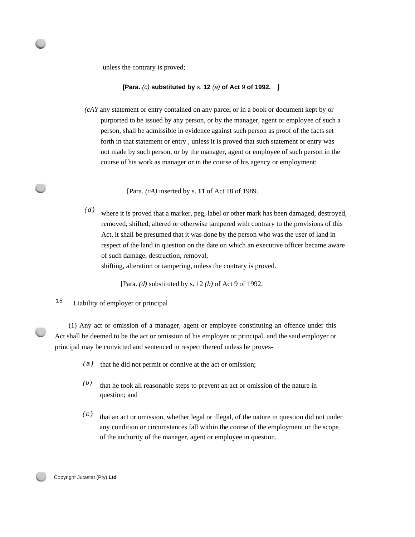unless the contrary is proved;

#### **[Para.** *(c)* **substituted by** s. **12** *(a)* **of Act** 9 **of 1992.**

*(cAY* any statement or entry contained on any parcel or in a book or document kept by or purported to be issued by any person, or by the manager, agent or employee of such a person, shall be admissible in evidence against such person as proof of the facts set forth in that statement or entry , unless it is proved that such statement or entry was not made by such person, or by the manager, agent or employee of such person in the course of his work as manager or in the course of his agency or employment;

[Para. *(cA)* inserted by s. **11** of Act 18 of 1989.

*(d)*  where it is proved that a marker, peg, label or other mark has been damaged, destroyed, removed, shifted, altered or otherwise tampered with contrary to the provisions of this Act, it shall be presumed that it was done by the person who was the user of land in respect of the land in question on the date on which an executive officer became aware of such damage, destruction, removal,

shifting, alteration or tampering, unless the contrary is proved.

[Para. *(d)* substituted by s. 12 *(b)* of Act 9 of 1992.

15 Liability of employer or principal

(1) Any act or omission of a manager, agent or employee constituting an offence under this Act shall be deemed to be the act or omission of his employer or principal, and the said employer or principal may be convicted and sentenced in respect thereof unless he proves-

- *(a)*  that he did not permit or connive at the act or omission;
- *(b)*  that he took all reasonable steps to prevent an act or omission of the nature in question; and
- *(c)*  that an act or omission, whether legal or illegal, of the nature in question did not under any condition or circumstances fall within the course of the employment or the scope of the authority of the manager, agent or employee in question.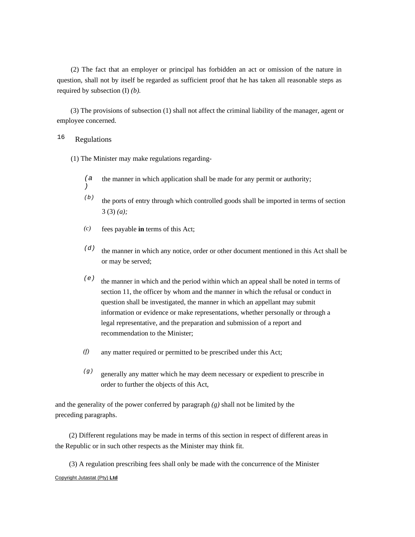(2) The fact that an employer or principal has forbidden an act or omission of the nature in question, shall not by itself be regarded as sufficient proof that he has taken all reasonable steps as required by subsection (I) *(b).* 

(3) The provisions of subsection (1) shall not affect the criminal liability of the manager, agent or employee concerned.

# 16 Regulations

*)* 

(1) The Minister may make regulations regarding-

- *(a* the manner in which application shall be made for any permit or authority;
- *(b)*  the ports of entry through which controlled goods shall be imported in terms of section 3 (3) *(a);*
- *(c)*  fees payable **in** terms of this Act;
- *(d)*  the manner in which any notice, order or other document mentioned in this Act shall be or may be served;
- *(e)*  the manner in which and the period within which an appeal shall be noted in terms of section 11, the officer by whom and the manner in which the refusal or conduct in question shall be investigated, the manner in which an appellant may submit information or evidence or make representations, whether personally or through a legal representative, and the preparation and submission of a report and recommendation to the Minister;
- *(f)*  any matter required or permitted to be prescribed under this Act;
- *(g)*  generally any matter which he may deem necessary or expedient to prescribe in order to further the objects of this Act,

and the generality of the power conferred by paragraph *(g)* shall not be limited by the preceding paragraphs.

(2) Different regulations may be made in terms of this section in respect of different areas in the Republic or in such other respects as the Minister may think fit.

(3) A regulation prescribing fees shall only be made with the concurrence of the Minister Copyright Jutastat (Pty) **Ltd**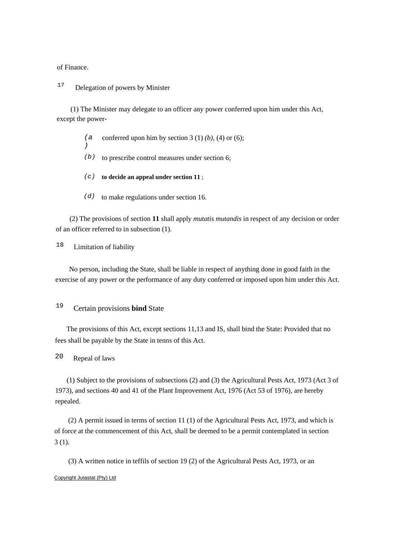of Finance.

<sup>17</sup> Delegation of powers by Minister

(1) The Minister may delegate to an officer any power conferred upon him under this Act, except the power-

- *(a )*  conferred upon him by section  $3(1)(b)$ ,  $(4)$  or  $(6)$ ;
- *(b)*  to prescribe control measures under section 6;
- *(c)*  **to decide an appeal under section 11** ;
- *(d)*  to make regulations under section 16.

(2) The provisions of section **11** shall apply *mutatis mutandis* in respect of any decision or order of an officer referred to in subsection (1).

18 Limitation of liability

No person, including the State, shall be liable in respect of anything done in good faith in the exercise of any power or the performance of any duty conferred or imposed upon him under this Act.

# <sup>19</sup>Certain provisions **bind** State

The provisions of this Act, except sections 11,13 and IS, shall bind the State: Provided that no fees shall be payable by the State in tenns of this Act.

20 Repeal of laws

(1) Subject to the provisions of subsections (2) and (3) the Agricultural Pests Act, 1973 (Act 3 of 1973), and sections 40 and 41 of the Plant Improvement Act, 1976 (Act 53 of 1976), are hereby repealed.

(2) A permit issued in terms of section 11 (1) of the Agricultural Pests Act, 1973, and which is of force at the commencement of this Act, shall be deemed to be a permit contemplated in section 3 (1).

(3) A written notice in teffils of section 19 (2) of the Agricultural Pests Act, 1973, or an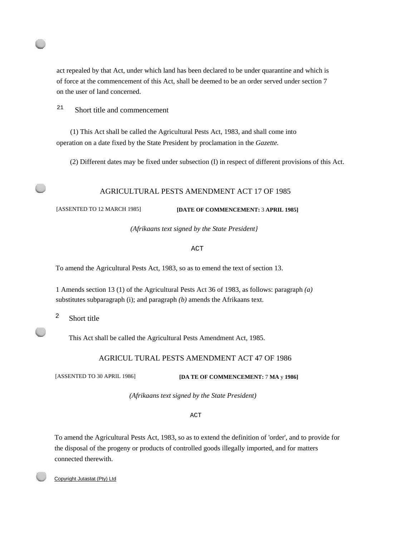act repealed by that Act, under which land has been declared to be under quarantine and which is of force at the commencement of this Act, shall be deemed to be an order served under section 7 on the user of land concerned.

 $21$  Short title and commencement

(1) This Act shall be called the Agricultural Pests Act, 1983, and shall come into operation on a date fixed by the State President by proclamation in the *Gazette.* 

(2) Different dates may be fixed under subsection (I) in respect of different provisions of this Act.

## AGRICULTURAL PESTS AMENDMENT ACT 17 OF 1985

[ASSENTED TO 12 MARCH 1985] **[DATE OF COMMENCEMENT:** 3 **APRIL 1985]** 

*(Afrikaans text signed by the State President}* 

ACT

To amend the Agricultural Pests Act, 1983, so as to emend the text of section 13.

1 Amends section 13 (1) of the Agricultural Pests Act 36 of 1983, as follows: paragraph *(a)*  substitutes subparagraph (i); and paragraph *(b)* amends the Afrikaans text.

<sup>2</sup> Short title

This Act shall be called the Agricultural Pests Amendment Act, 1985.

## AGRICUL TURAL PESTS AMENDMENT ACT 47 OF 1986

[ASSENTED TO 30 APRIL 1986] **[DA TE OF COMMENCEMENT:** 7 **MA** y **1986]** 

*(Afrikaans text signed by the State President)* 

#### ACT

To amend the Agricultural Pests Act, 1983, so as to extend the definition of 'order', and to provide for the disposal of the progeny or products of controlled goods illegally imported, and for matters connected therewith.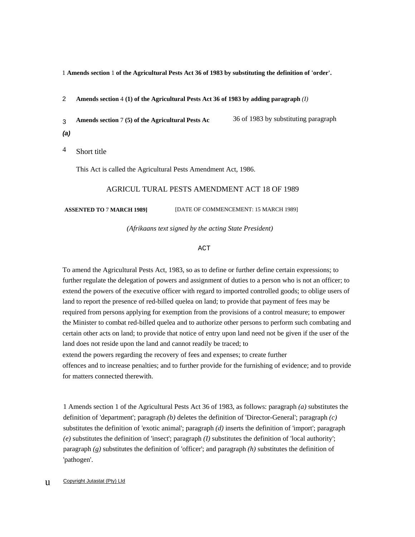1 **Amends section** 1 **of the Agricultural Pests Act 36 of 1983 by substituting the definition of 'order'.** 

2 **Amends section** 4 **(1) of the Agricultural Pests Act 36 of 1983 by adding paragraph** *(I)* 

3 *(a)*  **Amends section** 7 **(5) of the Agricultural Pests Ac** 36 of 1983 by substituting paragraph

4 Short title

This Act is called the Agricultural Pests Amendment Act, 1986.

#### AGRICUL TURAL PESTS AMENDMENT ACT 18 OF 1989

**ASSENTED TO** 7 **MARCH 1989]** [DATE OF COMMENCEMENT: 15 MARCH 1989]

*(Afrikaans text signed by the acting State President)* 

ACT

To amend the Agricultural Pests Act, 1983, so as to define or further define certain expressions; to further regulate the delegation of powers and assignment of duties to a person who is not an officer; to extend the powers of the executive officer with regard to imported controlled goods; to oblige users of land to report the presence of red-billed quelea on land; to provide that payment of fees may be required from persons applying for exemption from the provisions of a control measure; to empower the Minister to combat red-billed quelea and to authorize other persons to perform such combating and certain other acts on land; to provide that notice of entry upon land need not be given if the user of the land does not reside upon the land and cannot readily be traced; to extend the powers regarding the recovery of fees and expenses; to create further offences and to increase penalties; and to further provide for the furnishing of evidence; and to provide for matters connected therewith.

1 Amends section 1 of the Agricultural Pests Act 36 of 1983, as follows: paragraph *(a)* substitutes the definition of 'department'; paragraph *(b)* deletes the definition of 'Director-General'; paragraph *(c)*  substitutes the definition of 'exotic animal'; paragraph *(d)* inserts the definition of 'import'; paragraph *(e)* substitutes the definition of 'insect'; paragraph *(I)* substitutes the definition of 'local authority'; paragraph *(g)* substitutes the definition of 'officer'; and paragraph *(h)* substitutes the definition of 'pathogen'.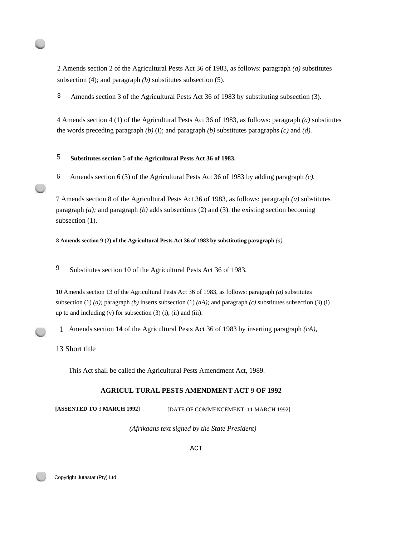2 Amends section 2 of the Agricultural Pests Act 36 of 1983, as follows: paragraph *(a)* substitutes subsection (4); and paragraph *(b)* substitutes subsection (5).

3 Amends section 3 of the Agricultural Pests Act 36 of 1983 by substituting subsection (3).

4 Amends section 4 (1) of the Agricultural Pests Act 36 of 1983, as follows: paragraph *(a)* substitutes the words preceding paragraph  $(b)$  (i); and paragraph  $(b)$  substitutes paragraphs  $(c)$  and  $(d)$ .

# 5 **Substitutes section** 5 **of the Agricultural Pests Act 36 of 1983.**

6 Amends section 6 (3) of the Agricultural Pests Act 36 of 1983 by adding paragraph *(c).* 

7 Amends section 8 of the Agricultural Pests Act 36 of 1983, as follows: paragraph *(a)* substitutes paragraph *(a);* and paragraph *(b)* adds subsections (2) and (3), the existing section becoming subsection  $(1)$ .

8 **Amends section** 9 **(2) of the Agricultural Pests Act 36 of 1983 by substituting paragraph** *(a).* 

9 Substitutes section 10 of the Agricultural Pests Act 36 of 1983.

**10** Amends section 13 of the Agricultural Pests Act 36 of 1983, as follows: paragraph *(a)* substitutes subsection (1) *(a)*; paragraph *(b)* inserts subsection (1) *(aA)*; and paragraph *(c)* substitutes subsection (3) (i) up to and including (v) for subsection (3) (i), (ii) and (iii).

1 Amends section **14** of the Agricultural Pests Act 36 of 1983 by inserting paragraph *(cA),* 

#### 13 Short title

This Act shall be called the Agricultural Pests Amendment Act, 1989.

#### **AGRICUL TURAL PESTS AMENDMENT ACT** 9 **OF 1992**

**[ASSENTED TO** 3 **MARCH 1992]** [DATE OF COMMENCEMENT: **11** MARCH 1992]

*(Afrikaans text signed by the State President)* 

ACT

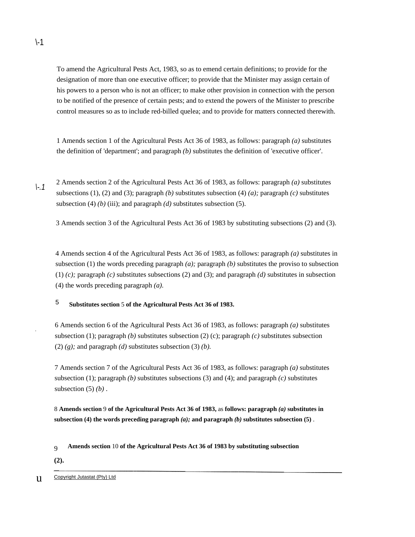To amend the Agricultural Pests Act, 1983, so as to emend certain definitions; to provide for the designation of more than one executive officer; to provide that the Minister may assign certain of his powers to a person who is not an officer; to make other provision in connection with the person to be notified of the presence of certain pests; and to extend the powers of the Minister to prescribe control measures so as to include red-billed quelea; and to provide for matters connected therewith.

1 Amends section 1 of the Agricultural Pests Act 36 of 1983, as follows: paragraph *(a)* substitutes the definition of 'department'; and paragraph *(b)* substitutes the definition of 'executive officer'.

*\-.1*  2 Amends section 2 of the Agricultural Pests Act 36 of 1983, as follows: paragraph *(a)* substitutes subsections (1), (2) and (3); paragraph *(b)* substitutes subsection (4) *(a);* paragraph *(c)* substitutes subsection  $(4)$  *(b) (iii)*; and paragraph *(d)* substitutes subsection (5).

3 Amends section 3 of the Agricultural Pests Act 36 of 1983 by substituting subsections (2) and (3).

4 Amends section 4 of the Agricultural Pests Act 36 of 1983, as follows: paragraph *(a)* substitutes in subsection (1) the words preceding paragraph *(a)*; paragraph *(b)* substitutes the proviso to subsection  $(1)$  *(c)*; paragraph *(c)* substitutes subsections (2) and (3); and paragraph *(d)* substitutes in subsection (4) the words preceding paragraph *(a).* 

5 **Substitutes section** 5 **of the Agricultural Pests Act 36 of 1983.** 

6 Amends section 6 of the Agricultural Pests Act 36 of 1983, as follows: paragraph *(a)* substitutes subsection (1); paragraph *(b)* substitutes subsection (2) (c); paragraph *(c)* substitutes subsection (2)  $(g)$ ; and paragraph  $(d)$  substitutes subsection  $(3)$   $(b)$ .

7 Amends section 7 of the Agricultural Pests Act 36 of 1983, as follows: paragraph *(a)* substitutes subsection (1); paragraph *(b)* substitutes subsections (3) and (4); and paragraph *(c)* substitutes subsection (5) *(b)* .

8 **Amends section** 9 **of the Agricultural Pests Act 36 of 1983,** as **follows: paragraph** *(a)* **substitutes in subsection (4) the words preceding paragraph** *(a);* **and paragraph** *(b)* **substitutes subsection (5)** .

**(2).** 

.

<sup>9</sup>  **Amends section** 10 **of the Agricultural Pests Act 36 of 1983 by substituting subsection**